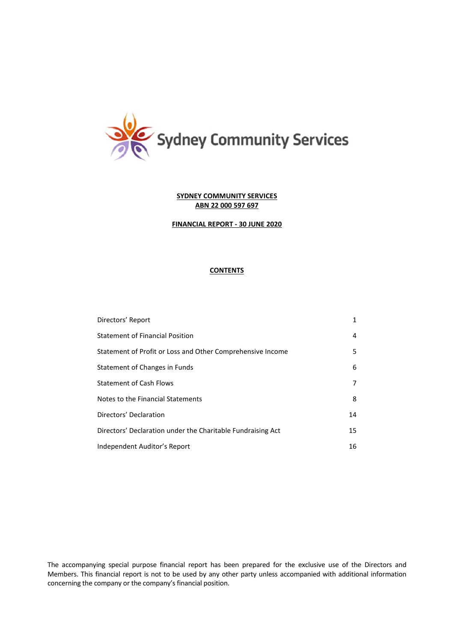

## **FINANCIAL REPORT - 30 JUNE 2020**

# **CONTENTS**

| Directors' Report                                           | 1  |
|-------------------------------------------------------------|----|
| <b>Statement of Financial Position</b>                      | 4  |
| Statement of Profit or Loss and Other Comprehensive Income  | 5  |
| Statement of Changes in Funds                               | 6  |
| <b>Statement of Cash Flows</b>                              | 7  |
| Notes to the Financial Statements                           | 8  |
| Directors' Declaration                                      | 14 |
| Directors' Declaration under the Charitable Fundraising Act | 15 |
| Independent Auditor's Report                                | 16 |

The accompanying special purpose financial report has been prepared for the exclusive use of the Directors and Members. This financial report is not to be used by any other party unless accompanied with additional information concerning the company or the company's financial position.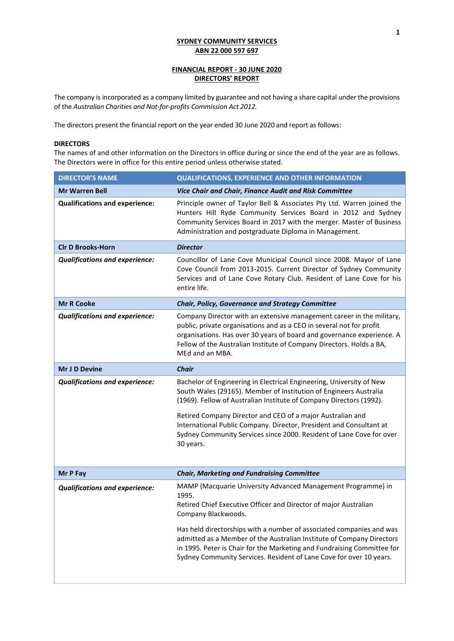# **FINANCIAL REPORT - 30 JUNE 2020 DIRECTORS' REPORT**

The company is incorporated as a company limited by guarantee and not having a share capital under the provisions of the *Australian Charities and Not-for-profits Commission Act 2012.*

The directors present the financial report on the year ended 30 June 2020 and report as follows:

### **DIRECTORS**

The names of and other information on the Directors in office during or since the end of the year are as follows. The Directors were in office for this entire period unless otherwise stated.

| <b>DIRECTOR'S NAME</b>                | <b>QUALIFICATIONS, EXPERIENCE AND OTHER INFORMATION</b>                                                                                                                                                                                                                                                                                                                                                                                                             |  |  |
|---------------------------------------|---------------------------------------------------------------------------------------------------------------------------------------------------------------------------------------------------------------------------------------------------------------------------------------------------------------------------------------------------------------------------------------------------------------------------------------------------------------------|--|--|
| <b>Mr Warren Bell</b>                 | Vice Chair and Chair, Finance Audit and Risk Committee                                                                                                                                                                                                                                                                                                                                                                                                              |  |  |
| <b>Qualifications and experience:</b> | Principle owner of Taylor Bell & Associates Pty Ltd. Warren joined the<br>Hunters Hill Ryde Community Services Board in 2012 and Sydney<br>Community Services Board in 2017 with the merger. Master of Business<br>Administration and postgraduate Diploma in Management.                                                                                                                                                                                           |  |  |
| <b>CIr D Brooks-Horn</b>              | <b>Director</b>                                                                                                                                                                                                                                                                                                                                                                                                                                                     |  |  |
| <b>Qualifications and experience:</b> | Councillor of Lane Cove Municipal Council since 2008. Mayor of Lane<br>Cove Council from 2013-2015. Current Director of Sydney Community<br>Services and of Lane Cove Rotary Club. Resident of Lane Cove for his<br>entire life.                                                                                                                                                                                                                                    |  |  |
| <b>Mr R Cooke</b>                     | Chair, Policy, Governance and Strategy Committee                                                                                                                                                                                                                                                                                                                                                                                                                    |  |  |
| <b>Qualifications and experience:</b> | Company Director with an extensive management career in the military,<br>public, private organisations and as a CEO in several not for profit<br>organisations. Has over 30 years of board and governance experience. A<br>Fellow of the Australian Institute of Company Directors. Holds a BA,<br>MEd and an MBA.                                                                                                                                                  |  |  |
| Mr J D Devine                         | <b>Chair</b>                                                                                                                                                                                                                                                                                                                                                                                                                                                        |  |  |
| <b>Qualifications and experience:</b> | Bachelor of Engineering in Electrical Engineering, University of New<br>South Wales (29165). Member of Institution of Engineers Australia<br>(1969). Fellow of Australian Institute of Company Directors (1992).<br>Retired Company Director and CEO of a major Australian and<br>International Public Company. Director, President and Consultant at<br>Sydney Community Services since 2000. Resident of Lane Cove for over<br>30 years.                          |  |  |
| Mr P Fay                              | <b>Chair, Marketing and Fundraising Committee</b>                                                                                                                                                                                                                                                                                                                                                                                                                   |  |  |
| <b>Qualifications and experience:</b> | MAMP (Macquarie University Advanced Management Programme) in<br>1995.<br>Retired Chief Executive Officer and Director of major Australian<br>Company Blackwoods.<br>Has held directorships with a number of associated companies and was<br>admitted as a Member of the Australian Institute of Company Directors<br>in 1995. Peter is Chair for the Marketing and Fundraising Committee for<br>Sydney Community Services. Resident of Lane Cove for over 10 years. |  |  |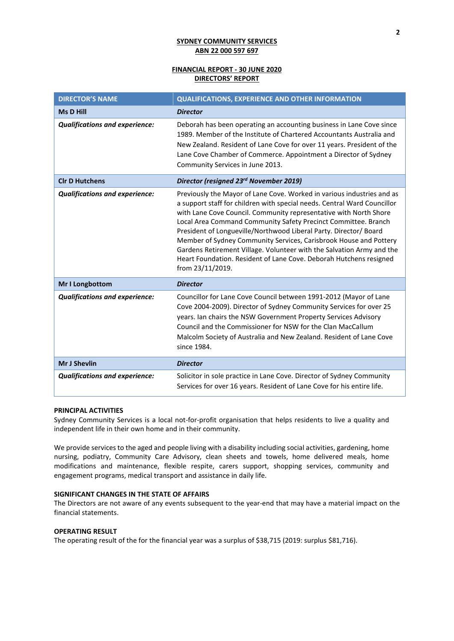## **FINANCIAL REPORT - 30 JUNE 2020 DIRECTORS' REPORT**

| <b>DIRECTOR'S NAME</b>                | <b>QUALIFICATIONS, EXPERIENCE AND OTHER INFORMATION</b>                                                                                                                                                                                                                                                                                                                                                                                                                                                                                                                                                |
|---------------------------------------|--------------------------------------------------------------------------------------------------------------------------------------------------------------------------------------------------------------------------------------------------------------------------------------------------------------------------------------------------------------------------------------------------------------------------------------------------------------------------------------------------------------------------------------------------------------------------------------------------------|
| <b>Ms D Hill</b>                      | <b>Director</b>                                                                                                                                                                                                                                                                                                                                                                                                                                                                                                                                                                                        |
| <b>Qualifications and experience:</b> | Deborah has been operating an accounting business in Lane Cove since<br>1989. Member of the Institute of Chartered Accountants Australia and<br>New Zealand. Resident of Lane Cove for over 11 years. President of the<br>Lane Cove Chamber of Commerce. Appointment a Director of Sydney<br>Community Services in June 2013.                                                                                                                                                                                                                                                                          |
| <b>CIr D Hutchens</b>                 | Director (resigned 23rd November 2019)                                                                                                                                                                                                                                                                                                                                                                                                                                                                                                                                                                 |
| <b>Qualifications and experience:</b> | Previously the Mayor of Lane Cove. Worked in various industries and as<br>a support staff for children with special needs. Central Ward Councillor<br>with Lane Cove Council. Community representative with North Shore<br>Local Area Command Community Safety Precinct Committee. Branch<br>President of Longueville/Northwood Liberal Party. Director/ Board<br>Member of Sydney Community Services, Carisbrook House and Pottery<br>Gardens Retirement Village. Volunteer with the Salvation Army and the<br>Heart Foundation. Resident of Lane Cove. Deborah Hutchens resigned<br>from 23/11/2019. |
| Mr I Longbottom                       | <b>Director</b>                                                                                                                                                                                                                                                                                                                                                                                                                                                                                                                                                                                        |
| <b>Qualifications and experience:</b> | Councillor for Lane Cove Council between 1991-2012 (Mayor of Lane<br>Cove 2004-2009). Director of Sydney Community Services for over 25<br>years. Ian chairs the NSW Government Property Services Advisory<br>Council and the Commissioner for NSW for the Clan MacCallum<br>Malcolm Society of Australia and New Zealand. Resident of Lane Cove<br>since 1984.                                                                                                                                                                                                                                        |
| <b>Mr J Shevlin</b>                   | <b>Director</b>                                                                                                                                                                                                                                                                                                                                                                                                                                                                                                                                                                                        |
| <b>Qualifications and experience:</b> | Solicitor in sole practice in Lane Cove. Director of Sydney Community<br>Services for over 16 years. Resident of Lane Cove for his entire life.                                                                                                                                                                                                                                                                                                                                                                                                                                                        |

### **PRINCIPAL ACTIVITIES**

Sydney Community Services is a local not-for-profit organisation that helps residents to live a quality and independent life in their own home and in their community.

We provide services to the aged and people living with a disability including social activities, gardening, home nursing, podiatry, Community Care Advisory, clean sheets and towels, home delivered meals, home modifications and maintenance, flexible respite, carers support, shopping services, community and engagement programs, medical transport and assistance in daily life.

### **SIGNIFICANT CHANGES IN THE STATE OF AFFAIRS**

The Directors are not aware of any events subsequent to the year-end that may have a material impact on the financial statements.

### **OPERATING RESULT**

The operating result of the for the financial year was a surplus of \$38,715 (2019: surplus \$81,716).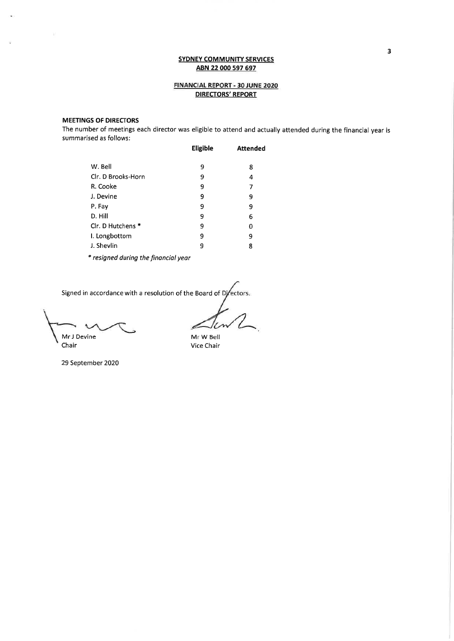## FINANCIAL REPORT - 30 JUNE 2020 **DIRECTORS' REPORT**

# **MEETINGS OF DIRECTORS**

The number of meetings each director was eligible to attend and actually attended during the financial year is summarised as follows:

|                    | <b>Eligible</b> | <b>Attended</b> |
|--------------------|-----------------|-----------------|
| W. Bell            | 9               | 8               |
| Clr. D Brooks-Horn | 9               | 4               |
| R. Cooke           | 9               | 7               |
| J. Devine          | 9               | 9               |
| P. Fay             | 9               | 9               |
| D. Hill            | 9               | 6               |
| Clr. D Hutchens *  | 9               | 0               |
| I. Longbottom      | 9               | 9               |
| J. Shevlin         | 9               | 8               |
|                    |                 |                 |

\* resigned during the financial year

Signed in accordance with a resolution of the Board of Directors.

Mr J Devine Chair

Mr W Bell Vice Chair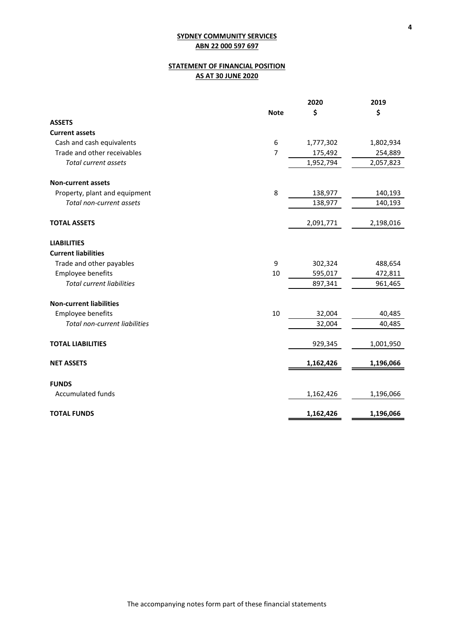# **STATEMENT OF FINANCIAL POSITION AS AT 30 JUNE 2020**

|                                  |             | 2020      | 2019      |
|----------------------------------|-------------|-----------|-----------|
|                                  | <b>Note</b> | \$        | \$        |
| <b>ASSETS</b>                    |             |           |           |
| <b>Current assets</b>            |             |           |           |
| Cash and cash equivalents        | 6           | 1,777,302 | 1,802,934 |
| Trade and other receivables      | 7           | 175,492   | 254,889   |
| <b>Total current assets</b>      |             | 1,952,794 | 2,057,823 |
| <b>Non-current assets</b>        |             |           |           |
| Property, plant and equipment    | 8           | 138,977   | 140,193   |
| Total non-current assets         |             | 138,977   | 140,193   |
| <b>TOTAL ASSETS</b>              |             | 2,091,771 | 2,198,016 |
| <b>LIABILITIES</b>               |             |           |           |
| <b>Current liabilities</b>       |             |           |           |
| Trade and other payables         | 9           | 302,324   | 488,654   |
| Employee benefits                | 10          | 595,017   | 472,811   |
| <b>Total current liabilities</b> |             | 897,341   | 961,465   |
| <b>Non-current liabilities</b>   |             |           |           |
| Employee benefits                | 10          | 32,004    | 40,485    |
| Total non-current liabilities    |             | 32,004    | 40,485    |
| <b>TOTAL LIABILITIES</b>         |             | 929,345   | 1,001,950 |
| <b>NET ASSETS</b>                |             | 1,162,426 | 1,196,066 |
| <b>FUNDS</b>                     |             |           |           |
| <b>Accumulated funds</b>         |             | 1,162,426 | 1,196,066 |
| <b>TOTAL FUNDS</b>               |             | 1,162,426 | 1,196,066 |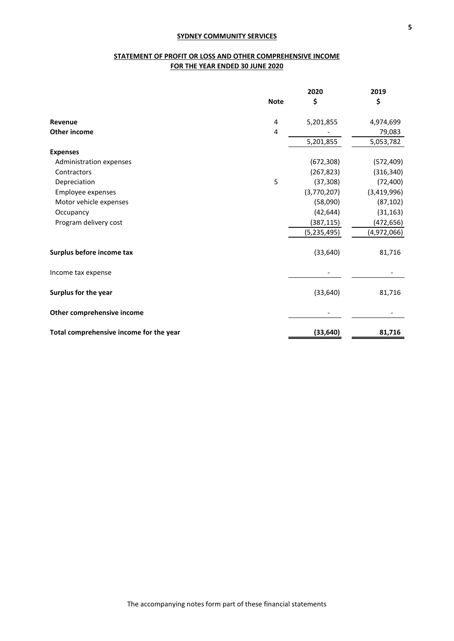# **STATEMENT OF PROFIT OR LOSS AND OTHER COMPREHENSIVE INCOME FOR THE YEAR ENDED 30 JUNE 2020**

|                                         | <b>Note</b> | 2020<br>\$    | 2019<br>\$  |
|-----------------------------------------|-------------|---------------|-------------|
| Revenue                                 | 4           | 5,201,855     | 4,974,699   |
| <b>Other income</b>                     | 4           |               | 79,083      |
|                                         |             | 5,201,855     | 5,053,782   |
| <b>Expenses</b>                         |             |               |             |
| Administration expenses                 |             | (672, 308)    | (572, 409)  |
| Contractors                             |             | (267, 823)    | (316, 340)  |
| Depreciation                            | 5           | (37, 308)     | (72, 400)   |
| Employee expenses                       |             | (3,770,207)   | (3,419,996) |
| Motor vehicle expenses                  |             | (58,090)      | (87, 102)   |
| Occupancy                               |             | (42, 644)     | (31, 163)   |
| Program delivery cost                   |             | (387, 115)    | (472, 656)  |
|                                         |             | (5, 235, 495) | (4,972,066) |
| Surplus before income tax               |             | (33, 640)     | 81,716      |
| Income tax expense                      |             |               |             |
| Surplus for the year                    |             | (33, 640)     | 81,716      |
| Other comprehensive income              |             |               |             |
| Total comprehensive income for the year |             | (33, 640)     | 81,716      |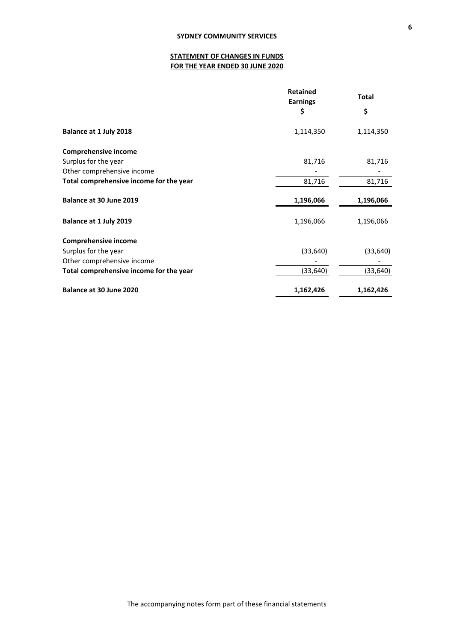# **STATEMENT OF CHANGES IN FUNDS FOR THE YEAR ENDED 30 JUNE 2020**

|                                         | <b>Retained</b><br><b>Earnings</b> | <b>Total</b> |  |
|-----------------------------------------|------------------------------------|--------------|--|
|                                         | \$                                 | \$           |  |
| Balance at 1 July 2018                  | 1,114,350                          | 1,114,350    |  |
| <b>Comprehensive income</b>             |                                    |              |  |
| Surplus for the year                    | 81,716                             | 81,716       |  |
| Other comprehensive income              |                                    |              |  |
| Total comprehensive income for the year | 81,716                             | 81,716       |  |
| Balance at 30 June 2019                 | 1,196,066                          | 1,196,066    |  |
| Balance at 1 July 2019                  | 1,196,066                          | 1,196,066    |  |
| <b>Comprehensive income</b>             |                                    |              |  |
| Surplus for the year                    | (33, 640)                          | (33, 640)    |  |
| Other comprehensive income              |                                    |              |  |
| Total comprehensive income for the year | (33, 640)                          | (33, 640)    |  |
| Balance at 30 June 2020                 | 1,162,426                          | 1,162,426    |  |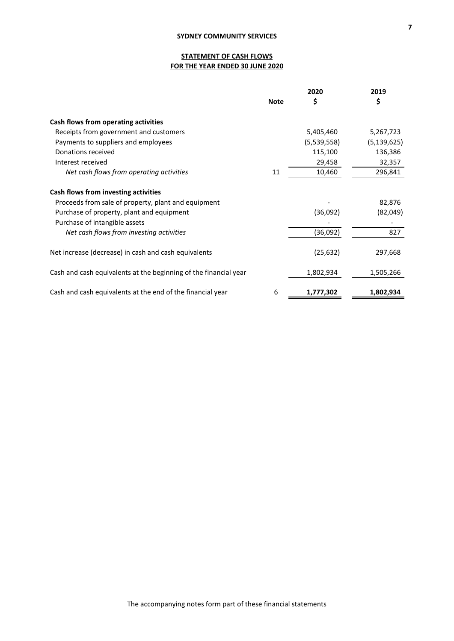# **STATEMENT OF CASH FLOWS FOR THE YEAR ENDED 30 JUNE 2020**

|                                                                  | 2020        |             | 2019          |  |
|------------------------------------------------------------------|-------------|-------------|---------------|--|
|                                                                  | <b>Note</b> | \$          | \$            |  |
| Cash flows from operating activities                             |             |             |               |  |
| Receipts from government and customers                           |             | 5,405,460   | 5,267,723     |  |
| Payments to suppliers and employees                              |             | (5,539,558) | (5, 139, 625) |  |
| Donations received                                               |             | 115,100     | 136,386       |  |
| Interest received                                                |             | 29,458      | 32,357        |  |
| Net cash flows from operating activities                         | 11          | 10,460      | 296,841       |  |
| Cash flows from investing activities                             |             |             |               |  |
| Proceeds from sale of property, plant and equipment              |             |             | 82,876        |  |
| Purchase of property, plant and equipment                        |             | (36,092)    | (82,049)      |  |
| Purchase of intangible assets                                    |             |             |               |  |
| Net cash flows from investing activities                         |             | (36,092)    | 827           |  |
| Net increase (decrease) in cash and cash equivalents             |             | (25, 632)   | 297,668       |  |
| Cash and cash equivalents at the beginning of the financial year |             | 1,802,934   | 1,505,266     |  |
| Cash and cash equivalents at the end of the financial year       | 6           | 1,777,302   | 1,802,934     |  |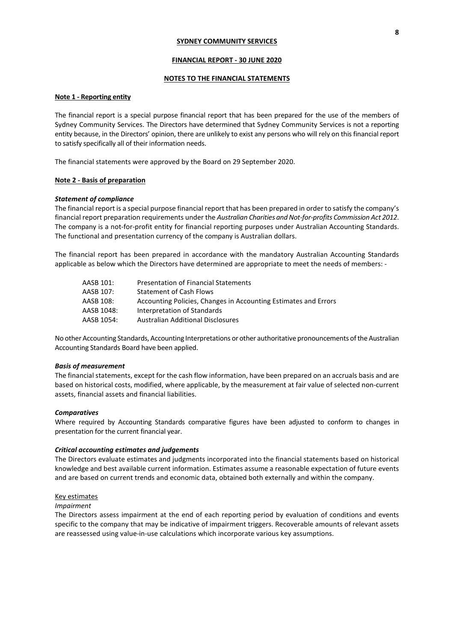#### **FINANCIAL REPORT - 30 JUNE 2020**

### **NOTES TO THE FINANCIAL STATEMENTS**

## **Note 1 - Reporting entity**

The financial report is a special purpose financial report that has been prepared for the use of the members of Sydney Community Services. The Directors have determined that Sydney Community Services is not a reporting entity because, in the Directors' opinion, there are unlikely to exist any persons who will rely on this financial report to satisfy specifically all of their information needs.

The financial statements were approved by the Board on 29 September 2020.

### **Note 2 - Basis of preparation**

#### *Statement of compliance*

The financial report is a special purpose financial report that has been prepared in order to satisfy the company's financial report preparation requirements under the *Australian Charities and Not-for-profits Commission Act 2012*. The company is a not-for-profit entity for financial reporting purposes under Australian Accounting Standards. The functional and presentation currency of the company is Australian dollars.

The financial report has been prepared in accordance with the mandatory Australian Accounting Standards applicable as below which the Directors have determined are appropriate to meet the needs of members: -

| AASB 101:  | <b>Presentation of Financial Statements</b>                     |
|------------|-----------------------------------------------------------------|
| AASB 107:  | <b>Statement of Cash Flows</b>                                  |
| AASB 108:  | Accounting Policies, Changes in Accounting Estimates and Errors |
| AASB 1048: | Interpretation of Standards                                     |
| AASB 1054: | <b>Australian Additional Disclosures</b>                        |

No other Accounting Standards, Accounting Interpretations or other authoritative pronouncements of the Australian Accounting Standards Board have been applied.

#### *Basis of measurement*

The financial statements, except for the cash flow information, have been prepared on an accruals basis and are based on historical costs, modified, where applicable, by the measurement at fair value of selected non-current assets, financial assets and financial liabilities.

#### *Comparatives*

Where required by Accounting Standards comparative figures have been adjusted to conform to changes in presentation for the current financial year.

#### *Critical accounting estimates and judgements*

The Directors evaluate estimates and judgments incorporated into the financial statements based on historical knowledge and best available current information. Estimates assume a reasonable expectation of future events and are based on current trends and economic data, obtained both externally and within the company.

#### Key estimates

#### *Impairment*

The Directors assess impairment at the end of each reporting period by evaluation of conditions and events specific to the company that may be indicative of impairment triggers. Recoverable amounts of relevant assets are reassessed using value-in-use calculations which incorporate various key assumptions.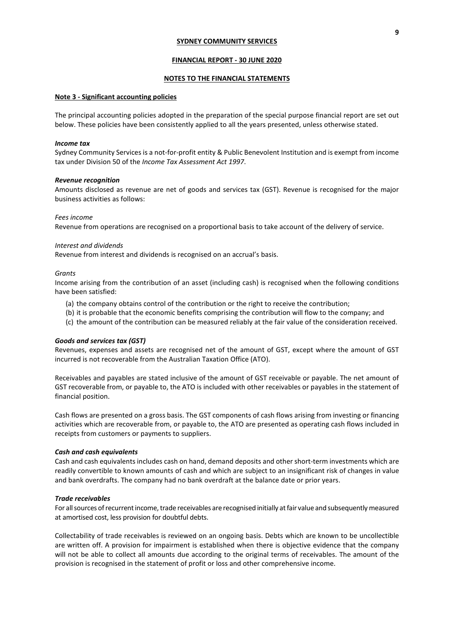### **FINANCIAL REPORT - 30 JUNE 2020**

### **NOTES TO THE FINANCIAL STATEMENTS**

#### **Note 3 - Significant accounting policies**

The principal accounting policies adopted in the preparation of the special purpose financial report are set out below. These policies have been consistently applied to all the years presented, unless otherwise stated.

#### *Income tax*

Sydney Community Services is a not-for-profit entity & Public Benevolent Institution and is exempt from income tax under Division 50 of the *Income Tax Assessment Act 1997*.

#### *Revenue recognition*

Amounts disclosed as revenue are net of goods and services tax (GST). Revenue is recognised for the major business activities as follows:

#### *Fees income*

Revenue from operations are recognised on a proportional basis to take account of the delivery of service.

#### *Interest and dividends*

Revenue from interest and dividends is recognised on an accrual's basis.

#### *Grants*

Income arising from the contribution of an asset (including cash) is recognised when the following conditions have been satisfied:

- (a) the company obtains control of the contribution or the right to receive the contribution;
- (b) it is probable that the economic benefits comprising the contribution will flow to the company; and
- (c) the amount of the contribution can be measured reliably at the fair value of the consideration received.

#### *Goods and services tax (GST)*

Revenues, expenses and assets are recognised net of the amount of GST, except where the amount of GST incurred is not recoverable from the Australian Taxation Office (ATO).

Receivables and payables are stated inclusive of the amount of GST receivable or payable. The net amount of GST recoverable from, or payable to, the ATO is included with other receivables or payables in the statement of financial position.

Cash flows are presented on a gross basis. The GST components of cash flows arising from investing or financing activities which are recoverable from, or payable to, the ATO are presented as operating cash flows included in receipts from customers or payments to suppliers.

#### *Cash and cash equivalents*

Cash and cash equivalents includes cash on hand, demand deposits and other short-term investments which are readily convertible to known amounts of cash and which are subject to an insignificant risk of changes in value and bank overdrafts. The company had no bank overdraft at the balance date or prior years.

### *Trade receivables*

For all sources of recurrent income, trade receivables are recognised initially at fair value and subsequently measured at amortised cost, less provision for doubtful debts.

Collectability of trade receivables is reviewed on an ongoing basis. Debts which are known to be uncollectible are written off. A provision for impairment is established when there is objective evidence that the company will not be able to collect all amounts due according to the original terms of receivables. The amount of the provision is recognised in the statement of profit or loss and other comprehensive income.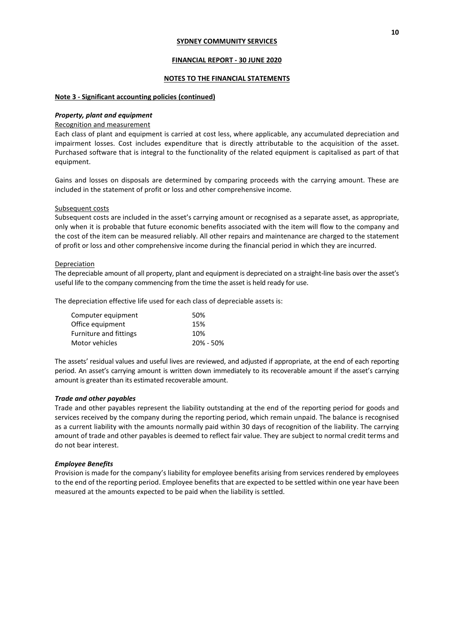#### **FINANCIAL REPORT - 30 JUNE 2020**

### **NOTES TO THE FINANCIAL STATEMENTS**

### **Note 3 - Significant accounting policies (continued)**

#### *Property, plant and equipment*

#### Recognition and measurement

Each class of plant and equipment is carried at cost less, where applicable, any accumulated depreciation and impairment losses. Cost includes expenditure that is directly attributable to the acquisition of the asset. Purchased software that is integral to the functionality of the related equipment is capitalised as part of that equipment.

Gains and losses on disposals are determined by comparing proceeds with the carrying amount. These are included in the statement of profit or loss and other comprehensive income.

#### Subsequent costs

Subsequent costs are included in the asset's carrying amount or recognised as a separate asset, as appropriate, only when it is probable that future economic benefits associated with the item will flow to the company and the cost of the item can be measured reliably. All other repairs and maintenance are charged to the statement of profit or loss and other comprehensive income during the financial period in which they are incurred.

#### Depreciation

The depreciable amount of all property, plant and equipment is depreciated on a straight-line basis over the asset's useful life to the company commencing from the time the asset is held ready for use.

The depreciation effective life used for each class of depreciable assets is:

| 50%       |
|-----------|
| 15%       |
| 10%       |
| 20% - 50% |
|           |

The assets' residual values and useful lives are reviewed, and adjusted if appropriate, at the end of each reporting period. An asset's carrying amount is written down immediately to its recoverable amount if the asset's carrying amount is greater than its estimated recoverable amount.

#### *Trade and other payables*

Trade and other payables represent the liability outstanding at the end of the reporting period for goods and services received by the company during the reporting period, which remain unpaid. The balance is recognised as a current liability with the amounts normally paid within 30 days of recognition of the liability. The carrying amount of trade and other payables is deemed to reflect fair value. They are subject to normal credit terms and do not bear interest.

#### *Employee Benefits*

Provision is made for the company's liability for employee benefits arising from services rendered by employees to the end of the reporting period. Employee benefits that are expected to be settled within one year have been measured at the amounts expected to be paid when the liability is settled.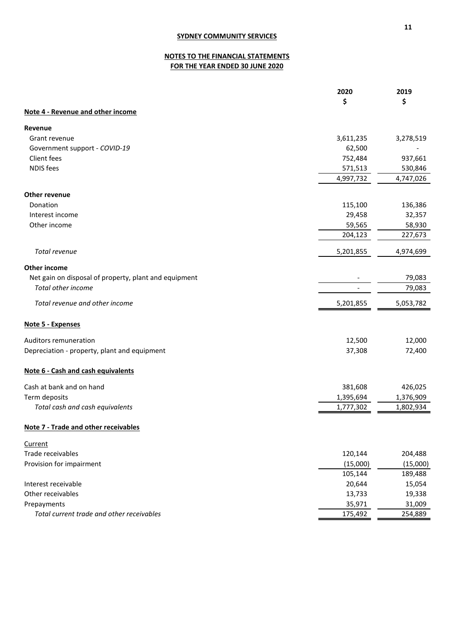# **NOTES TO THE FINANCIAL STATEMENTS FOR THE YEAR ENDED 30 JUNE 2020**

|                                                       | 2020      | 2019      |
|-------------------------------------------------------|-----------|-----------|
|                                                       | \$        | \$        |
| Note 4 - Revenue and other income                     |           |           |
| Revenue                                               |           |           |
| Grant revenue                                         | 3,611,235 | 3,278,519 |
| Government support - COVID-19                         | 62,500    |           |
| Client fees                                           | 752,484   | 937,661   |
| <b>NDIS</b> fees                                      | 571,513   | 530,846   |
|                                                       | 4,997,732 | 4,747,026 |
| Other revenue                                         |           |           |
| Donation                                              | 115,100   | 136,386   |
| Interest income                                       | 29,458    | 32,357    |
| Other income                                          | 59,565    | 58,930    |
|                                                       | 204,123   | 227,673   |
| Total revenue                                         | 5,201,855 | 4,974,699 |
| Other income                                          |           |           |
| Net gain on disposal of property, plant and equipment |           | 79,083    |
| Total other income                                    |           | 79,083    |
| Total revenue and other income                        | 5,201,855 | 5,053,782 |
| Note 5 - Expenses                                     |           |           |
| Auditors remuneration                                 | 12,500    | 12,000    |
| Depreciation - property, plant and equipment          | 37,308    | 72,400    |
| Note 6 - Cash and cash equivalents                    |           |           |
| Cash at bank and on hand                              | 381,608   | 426,025   |
| Term deposits                                         | 1,395,694 | 1,376,909 |
| Total cash and cash equivalents                       | 1,777,302 | 1,802,934 |
| <b>Note 7 - Trade and other receivables</b>           |           |           |
| Current                                               |           |           |
| Trade receivables                                     | 120,144   | 204,488   |
| Provision for impairment                              | (15,000)  | (15,000)  |
|                                                       | 105,144   | 189,488   |
| Interest receivable                                   | 20,644    | 15,054    |
| Other receivables                                     | 13,733    | 19,338    |
| Prepayments                                           | 35,971    | 31,009    |
| Total current trade and other receivables             | 175,492   | 254,889   |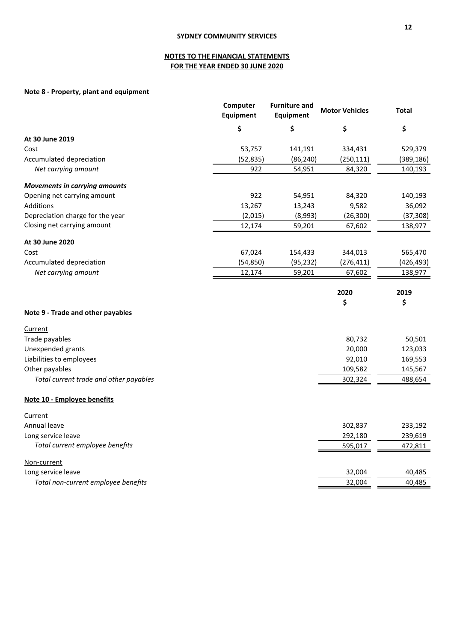# **NOTES TO THE FINANCIAL STATEMENTS FOR THE YEAR ENDED 30 JUNE 2020**

# **Note 8 - Property, plant and equipment**

|                                        | Computer<br><b>Equipment</b> | <b>Furniture and</b><br><b>Equipment</b> | <b>Motor Vehicles</b> | Total      |
|----------------------------------------|------------------------------|------------------------------------------|-----------------------|------------|
|                                        | \$                           | \$                                       | \$                    | \$         |
| At 30 June 2019                        |                              |                                          |                       |            |
| Cost                                   | 53,757                       | 141,191                                  | 334,431               | 529,379    |
| Accumulated depreciation               | (52, 835)                    | (86, 240)                                | (250, 111)            | (389, 186) |
| Net carrying amount                    | 922                          | 54,951                                   | 84,320                | 140,193    |
| <b>Movements in carrying amounts</b>   |                              |                                          |                       |            |
| Opening net carrying amount            | 922                          | 54,951                                   | 84,320                | 140,193    |
| Additions                              | 13,267                       | 13,243                                   | 9,582                 | 36,092     |
| Depreciation charge for the year       | (2,015)                      | (8,993)                                  | (26, 300)             | (37, 308)  |
| Closing net carrying amount            | 12,174                       | 59,201                                   | 67,602                | 138,977    |
| At 30 June 2020                        |                              |                                          |                       |            |
| Cost                                   | 67,024                       | 154,433                                  | 344,013               | 565,470    |
| Accumulated depreciation               | (54, 850)                    | (95, 232)                                | (276, 411)            | (426, 493) |
| Net carrying amount                    | 12,174                       | 59,201                                   | 67,602                | 138,977    |
|                                        |                              |                                          | 2020                  | 2019       |
|                                        |                              |                                          | \$                    | \$         |
| Note 9 - Trade and other payables      |                              |                                          |                       |            |
| Current                                |                              |                                          |                       |            |
| Trade payables                         |                              |                                          | 80,732                | 50,501     |
| Unexpended grants                      |                              |                                          | 20,000                | 123,033    |
| Liabilities to employees               |                              |                                          | 92,010                | 169,553    |
| Other payables                         |                              |                                          | 109,582               | 145,567    |
| Total current trade and other payables |                              |                                          | 302,324               | 488,654    |
| Note 10 - Employee benefits            |                              |                                          |                       |            |
| Current                                |                              |                                          |                       |            |
| Annual leave                           |                              |                                          | 302,837               | 233,192    |
| Long service leave                     |                              |                                          | 292,180               | 239,619    |
| Total current employee benefits        |                              |                                          | 595,017               | 472,811    |
| Non-current                            |                              |                                          |                       |            |
| Long service leave                     |                              |                                          | 32,004                | 40,485     |
| Total non-current employee benefits    |                              |                                          | 32,004                | 40,485     |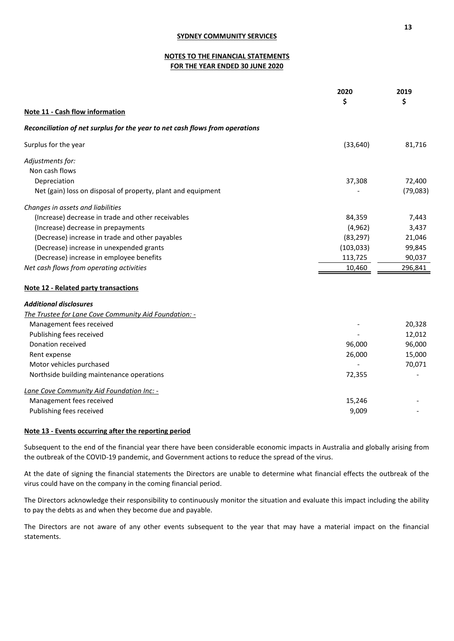# **NOTES TO THE FINANCIAL STATEMENTS FOR THE YEAR ENDED 30 JUNE 2020**

|                                                                              | 2020<br>\$ | 2019<br>\$ |
|------------------------------------------------------------------------------|------------|------------|
|                                                                              |            |            |
| Reconciliation of net surplus for the year to net cash flows from operations |            |            |
| Surplus for the year                                                         | (33, 640)  | 81,716     |
| Adjustments for:                                                             |            |            |
| Non cash flows                                                               |            |            |
| Depreciation                                                                 | 37,308     | 72,400     |
| Net (gain) loss on disposal of property, plant and equipment                 |            | (79,083)   |
| Changes in assets and liabilities                                            |            |            |
| (Increase) decrease in trade and other receivables                           | 84,359     | 7,443      |
| (Increase) decrease in prepayments                                           | (4, 962)   | 3,437      |
| (Decrease) increase in trade and other payables                              | (83, 297)  | 21,046     |
| (Decrease) increase in unexpended grants                                     | (103, 033) | 99,845     |
| (Decrease) increase in employee benefits                                     | 113,725    | 90,037     |
| Net cash flows from operating activities                                     | 10,460     | 296,841    |
| <b>Note 12 - Related party transactions</b>                                  |            |            |
| <b>Additional disclosures</b>                                                |            |            |
| The Trustee for Lane Cove Community Aid Foundation: -                        |            |            |
| Management fees received                                                     |            | 20,328     |
| Publishing fees received                                                     |            | 12,012     |
| Donation received                                                            | 96,000     | 96,000     |
| Rent expense                                                                 | 26,000     | 15,000     |
| Motor vehicles purchased                                                     |            | 70,071     |
| Northside building maintenance operations                                    | 72,355     |            |
| Lane Cove Community Aid Foundation Inc: -                                    |            |            |
| Management fees received                                                     | 15,246     |            |
| Publishing fees received                                                     | 9,009      |            |

### **Note 13 - Events occurring after the reporting period**

Subsequent to the end of the financial year there have been considerable economic impacts in Australia and globally arising from the outbreak of the COVID-19 pandemic, and Government actions to reduce the spread of the virus.

At the date of signing the financial statements the Directors are unable to determine what financial effects the outbreak of the virus could have on the company in the coming financial period.

The Directors acknowledge their responsibility to continuously monitor the situation and evaluate this impact including the ability to pay the debts as and when they become due and payable.

The Directors are not aware of any other events subsequent to the year that may have a material impact on the financial statements.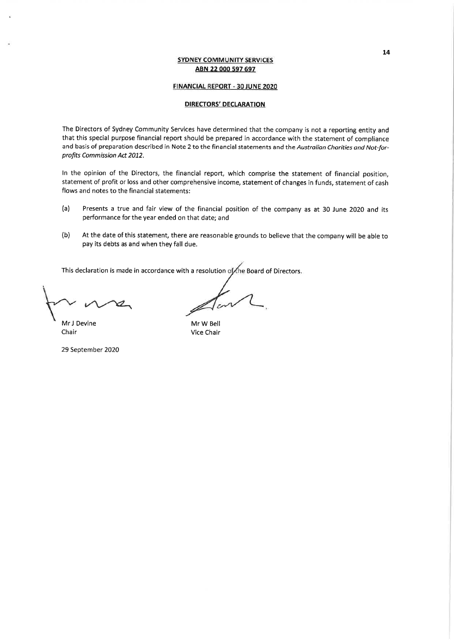### **FINANCIAL REPORT - 30 JUNE 2020**

### **DIRECTORS' DECLARATION**

The Directors of Sydney Community Services have determined that the company is not a reporting entity and that this special purpose financial report should be prepared in accordance with the statement of compliance and basis of preparation described in Note 2 to the financial statements and the Australian Charities and Not-forprofits Commission Act 2012.

In the opinion of the Directors, the financial report, which comprise the statement of financial position, statement of profit or loss and other comprehensive income, statement of changes in funds, statement of cash flows and notes to the financial statements:

- $(a)$ Presents a true and fair view of the financial position of the company as at 30 June 2020 and its performance for the year ended on that date; and
- At the date of this statement, there are reasonable grounds to believe that the company will be able to  $(b)$ pay its debts as and when they fall due.

This declaration is made in accordance with a resolution of the Board of Directors.

Mr J Devine Chair

Mr W Bell Vice Chair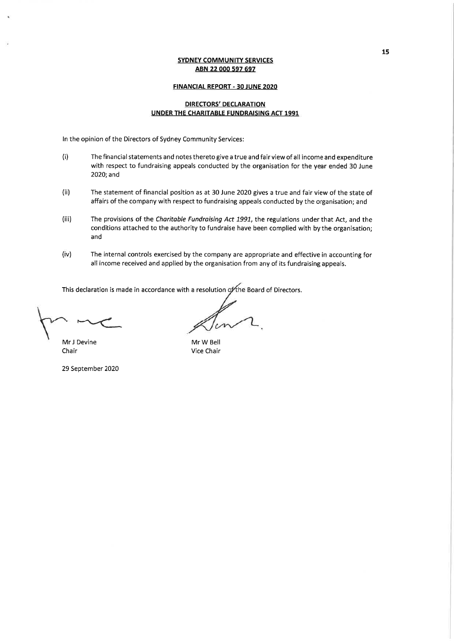### **FINANCIAL REPORT - 30 JUNE 2020**

## **DIRECTORS' DECLARATION UNDER THE CHARITABLE FUNDRAISING ACT 1991**

In the opinion of the Directors of Sydney Community Services:

- $(i)$ The financial statements and notes thereto give a true and fair view of all income and expenditure with respect to fundraising appeals conducted by the organisation for the year ended 30 June 2020; and
- $(ii)$ The statement of financial position as at 30 June 2020 gives a true and fair view of the state of affairs of the company with respect to fundraising appeals conducted by the organisation; and
- The provisions of the Charitable Fundraising Act 1991, the regulations under that Act, and the  $(iii)$ conditions attached to the authority to fundraise have been complied with by the organisation; and
- $(iv)$ The internal controls exercised by the company are appropriate and effective in accounting for all income received and applied by the organisation from any of its fundraising appeals.

This declaration is made in accordance with a resolution of the Board of Directors.

Mr J Devine Chair

Mr W Bell Vice Chair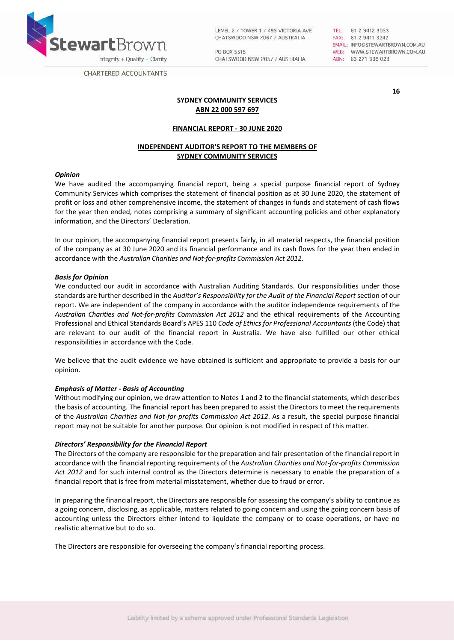

LEVEL 2 / TOWER 1 / 495 VICTORIA AVE CHATSWOOD NSW 2067 / AUSTRALIA

PO BOX 5515 CHATSWOOD NSW 2057 / AUSTRALIA TEL: 61 2 9412 3033<br>FAX: 61 2 9411 3242 EMAIL: INFO@STEWARTBROWN.COM.AU WEB: WWW.STEWARTBROWN.COM.AU ABN: 63 271 338 023

**CHARTERED ACCOUNTANTS** 

**16**

# **SYDNEY COMMUNITY SERVICES ABN 22 000 597 697**

# **FINANCIAL REPORT - 30 JUNE 2020**

# **INDEPENDENT AUDITOR'S REPORT TO THE MEMBERS OF SYDNEY COMMUNITY SERVICES**

### *Opinion*

We have audited the accompanying financial report, being a special purpose financial report of Sydney Community Services which comprises the statement of financial position as at 30 June 2020, the statement of profit or loss and other comprehensive income, the statement of changes in funds and statement of cash flows for the year then ended, notes comprising a summary of significant accounting policies and other explanatory information, and the Directors' Declaration.

In our opinion, the accompanying financial report presents fairly, in all material respects, the financial position of the company as at 30 June 2020 and its financial performance and its cash flows for the year then ended in accordance with the *Australian Charities and Not-for-profits Commission Act 2012*.

### *Basis for Opinion*

We conducted our audit in accordance with Australian Auditing Standards. Our responsibilities under those standards are further described in the *Auditor's Responsibility for the Audit of the Financial Report* section of our report. We are independent of the company in accordance with the auditor independence requirements of the *Australian Charities and Not-for-profits Commission Act 2012* and the ethical requirements of the Accounting Professional and Ethical Standards Board's APES 110 *Code of Ethics for Professional Accountants* (the Code) that are relevant to our audit of the financial report in Australia. We have also fulfilled our other ethical responsibilities in accordance with the Code.

We believe that the audit evidence we have obtained is sufficient and appropriate to provide a basis for our opinion.

# *Emphasis of Matter - Basis of Accounting*

Without modifying our opinion, we draw attention to Notes 1 and 2 to the financial statements, which describes the basis of accounting. The financial report has been prepared to assist the Directors to meet the requirements of the *Australian Charities and Not-for-profits Commission Act 2012*. As a result, the special purpose financial report may not be suitable for another purpose. Our opinion is not modified in respect of this matter.

# *Directors' Responsibility for the Financial Report*

The Directors of the company are responsible for the preparation and fair presentation of the financial report in accordance with the financial reporting requirements of the *Australian Charities and Not-for-profits Commission Act 2012* and for such internal control as the Directors determine is necessary to enable the preparation of a financial report that is free from material misstatement, whether due to fraud or error.

In preparing the financial report, the Directors are responsible for assessing the company's ability to continue as a going concern, disclosing, as applicable, matters related to going concern and using the going concern basis of accounting unless the Directors either intend to liquidate the company or to cease operations, or have no realistic alternative but to do so.

The Directors are responsible for overseeing the company's financial reporting process.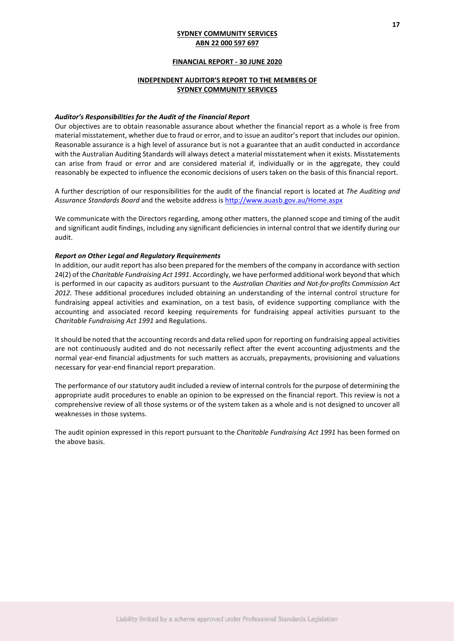### **FINANCIAL REPORT - 30 JUNE 2020**

## **INDEPENDENT AUDITOR'S REPORT TO THE MEMBERS OF SYDNEY COMMUNITY SERVICES**

#### *Auditor's Responsibilities for the Audit of the Financial Report*

Our objectives are to obtain reasonable assurance about whether the financial report as a whole is free from material misstatement, whether due to fraud or error, and to issue an auditor's report that includes our opinion. Reasonable assurance is a high level of assurance but is not a guarantee that an audit conducted in accordance with the Australian Auditing Standards will always detect a material misstatement when it exists. Misstatements can arise from fraud or error and are considered material if, individually or in the aggregate, they could reasonably be expected to influence the economic decisions of users taken on the basis of this financial report.

A further description of our responsibilities for the audit of the financial report is located at *The Auditing and Assurance Standards Board* and the website address is<http://www.auasb.gov.au/Home.aspx>

We communicate with the Directors regarding, among other matters, the planned scope and timing of the audit and significant audit findings, including any significant deficiencies in internal control that we identify during our audit.

### *Report on Other Legal and Regulatory Requirements*

In addition, our audit report has also been prepared for the members of the company in accordance with section 24(2) of the *Charitable Fundraising Act 1991*. Accordingly, we have performed additional work beyond that which is performed in our capacity as auditors pursuant to the *Australian Charities and Not-for-profits Commission Act 2012*. These additional procedures included obtaining an understanding of the internal control structure for fundraising appeal activities and examination, on a test basis, of evidence supporting compliance with the accounting and associated record keeping requirements for fundraising appeal activities pursuant to the *Charitable Fundraising Act 1991* and Regulations.

It should be noted that the accounting records and data relied upon for reporting on fundraising appeal activities are not continuously audited and do not necessarily reflect after the event accounting adjustments and the normal year-end financial adjustments for such matters as accruals, prepayments, provisioning and valuations necessary for year-end financial report preparation.

The performance of our statutory audit included a review of internal controls for the purpose of determining the appropriate audit procedures to enable an opinion to be expressed on the financial report. This review is not a comprehensive review of all those systems or of the system taken as a whole and is not designed to uncover all weaknesses in those systems.

The audit opinion expressed in this report pursuant to the *Charitable Fundraising Act 1991* has been formed on the above basis.